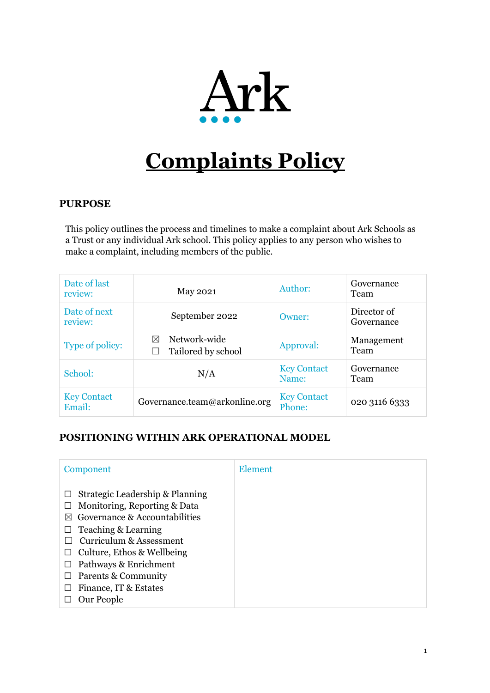

# **Complaints Policy**

# **PURPOSE**

This policy outlines the process and timelines to make a complaint about Ark Schools as a Trust or any individual Ark school. This policy applies to any person who wishes to make a complaint, including members of the public.

| Date of last<br>review:      | May 2021                                          | Author:                      | Governance<br>Team        |
|------------------------------|---------------------------------------------------|------------------------------|---------------------------|
| Date of next<br>review:      | September 2022                                    | Owner:                       | Director of<br>Governance |
| Type of policy:              | Network-wide<br>$\boxtimes$<br>Tailored by school | Approval:                    | Management<br>Team        |
| School:                      | N/A                                               | <b>Key Contact</b><br>Name:  | Governance<br>Team        |
| <b>Key Contact</b><br>Email: | Governance.team@arkonline.org                     | <b>Key Contact</b><br>Phone: | 020 3116 6333             |

# **POSITIONING WITHIN ARK OPERATIONAL MODEL**

| Component                                                                                                                                                                                                                                                                                 | Element |
|-------------------------------------------------------------------------------------------------------------------------------------------------------------------------------------------------------------------------------------------------------------------------------------------|---------|
| Strategic Leadership & Planning<br>Monitoring, Reporting & Data<br>Governance & Accountabilities<br>$\bowtie$<br>Teaching & Learning<br>Curriculum & Assessment<br>Culture, Ethos & Wellbeing<br>Pathways & Enrichment<br>Parents & Community<br>ப<br>Finance, IT & Estates<br>Our People |         |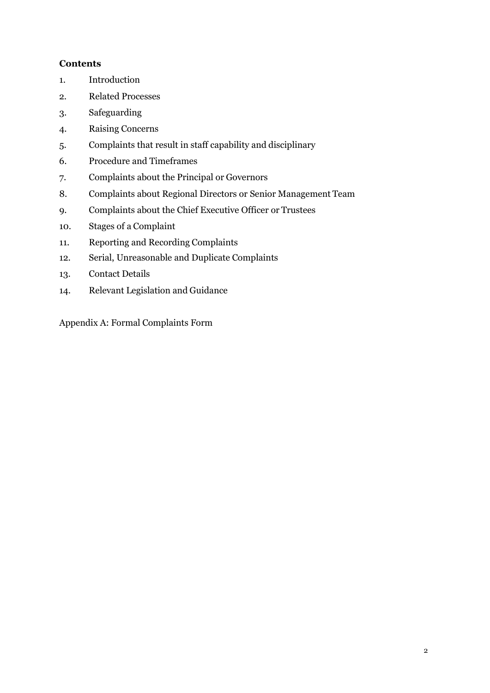# **Contents**

- 1. Introduction
- 2. Related Processes
- 3. Safeguarding
- 4. Raising Concerns
- 5. Complaints that result in staff capability and disciplinary
- 6. Procedure and Timeframes
- 7. Complaints about the Principal or Governors
- 8. Complaints about Regional Directors or Senior Management Team
- 9. Complaints about the Chief Executive Officer or Trustees
- 10. Stages of a Complaint
- 11. Reporting and Recording Complaints
- 12. Serial, Unreasonable and Duplicate Complaints
- 13. Contact Details
- 14. Relevant Legislation and Guidance

Appendix A: Formal Complaints Form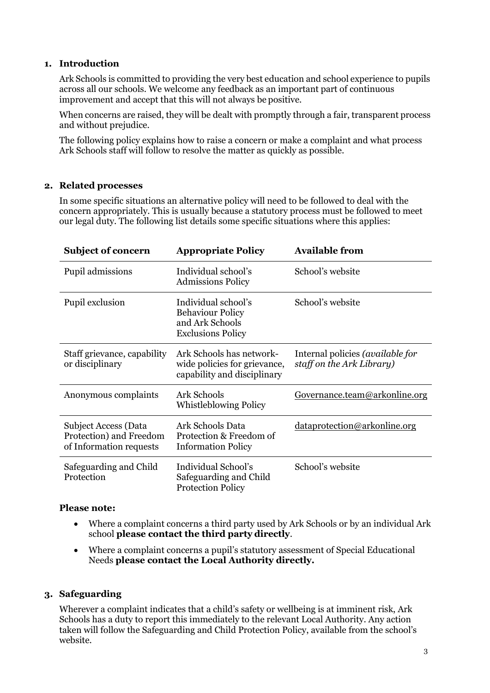# **1. Introduction**

Ark Schools is committed to providing the very best education and school experience to pupils across all our schools. We welcome any feedback as an important part of continuous improvement and accept that this will not always be positive.

When concerns are raised, they will be dealt with promptly through a fair, transparent process and without prejudice.

The following policy explains how to raise a concern or make a complaint and what process Ark Schools staff will follow to resolve the matter as quickly as possible.

#### **2. Related processes**

In some specific situations an alternative policy will need to be followed to deal with the concern appropriately. This is usually because a statutory process must be followed to meet our legal duty. The following list details some specific situations where this applies:

| <b>Subject of concern</b>                                                         | <b>Appropriate Policy</b>                                                                     | <b>Available from</b>                                                |
|-----------------------------------------------------------------------------------|-----------------------------------------------------------------------------------------------|----------------------------------------------------------------------|
| Pupil admissions                                                                  | Individual school's<br><b>Admissions Policy</b>                                               | School's website                                                     |
| Pupil exclusion                                                                   | Individual school's<br><b>Behaviour Policy</b><br>and Ark Schools<br><b>Exclusions Policy</b> | School's website                                                     |
| Staff grievance, capability<br>or disciplinary                                    | Ark Schools has network-<br>wide policies for grievance,<br>capability and disciplinary       | Internal policies <i>(available for</i><br>staff on the Ark Library) |
| Anonymous complaints                                                              | <b>Ark Schools</b><br><b>Whistleblowing Policy</b>                                            | Governance.team@arkonline.org                                        |
| <b>Subject Access (Data</b><br>Protection) and Freedom<br>of Information requests | <b>Ark Schools Data</b><br>Protection & Freedom of<br><b>Information Policy</b>               | dataprotection@arkonline.org                                         |
| Safeguarding and Child<br>Protection                                              | Individual School's<br>Safeguarding and Child<br><b>Protection Policy</b>                     | School's website                                                     |

# **Please note:**

- Where a complaint concerns a third party used by Ark Schools or by an individual Ark school **please contact the third party directly**.
- Where a complaint concerns a pupil's statutory assessment of Special Educational Needs **please contact the Local Authority directly.**

# **3. Safeguarding**

Wherever a complaint indicates that a child's safety or wellbeing is at imminent risk, Ark Schools has a duty to report this immediately to the relevant Local Authority. Any action taken will follow the Safeguarding and Child Protection Policy, available from the school's website.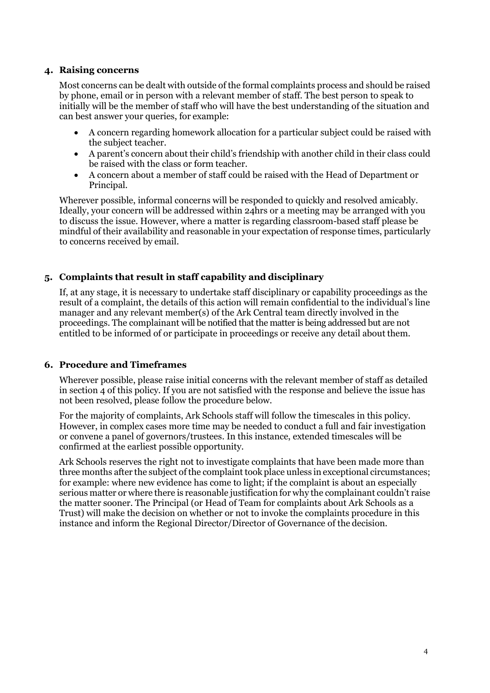## **4. Raising concerns**

Most concerns can be dealt with outside of the formal complaints process and should be raised by phone, email or in person with a relevant member of staff. The best person to speak to initially will be the member of staff who will have the best understanding of the situation and can best answer your queries, for example:

- A concern regarding homework allocation for a particular subject could be raised with the subject teacher.
- A parent's concern about their child's friendship with another child in their class could be raised with the class or form teacher.
- A concern about a member of staff could be raised with the Head of Department or Principal.

Wherever possible, informal concerns will be responded to quickly and resolved amicably. Ideally, your concern will be addressed within 24hrs or a meeting may be arranged with you to discuss the issue. However, where a matter is regarding classroom-based staff please be mindful of their availability and reasonable in your expectation of response times, particularly to concerns received by email.

# **5. Complaints that result in staff capability and disciplinary**

If, at any stage, it is necessary to undertake staff disciplinary or capability proceedings as the result of a complaint, the details of this action will remain confidential to the individual's line manager and any relevant member(s) of the Ark Central team directly involved in the proceedings. The complainant will be notified that the matter is being addressed but are not entitled to be informed of or participate in proceedings or receive any detail about them.

# **6. Procedure and Timeframes**

Wherever possible, please raise initial concerns with the relevant member of staff as detailed in section 4 of this policy. If you are not satisfied with the response and believe the issue has not been resolved, please follow the procedure below.

For the majority of complaints, Ark Schools staff will follow the timescales in this policy. However, in complex cases more time may be needed to conduct a full and fair investigation or convene a panel of governors/trustees. In this instance, extended timescales will be confirmed at the earliest possible opportunity.

Ark Schools reserves the right not to investigate complaints that have been made more than three months after the subject of the complaint took place unless in exceptional circumstances; for example: where new evidence has come to light; if the complaint is about an especially serious matter or where there is reasonable justification for why the complainant couldn't raise the matter sooner. The Principal (or Head of Team for complaints about Ark Schools as a Trust) will make the decision on whether or not to invoke the complaints procedure in this instance and inform the Regional Director/Director of Governance of the decision.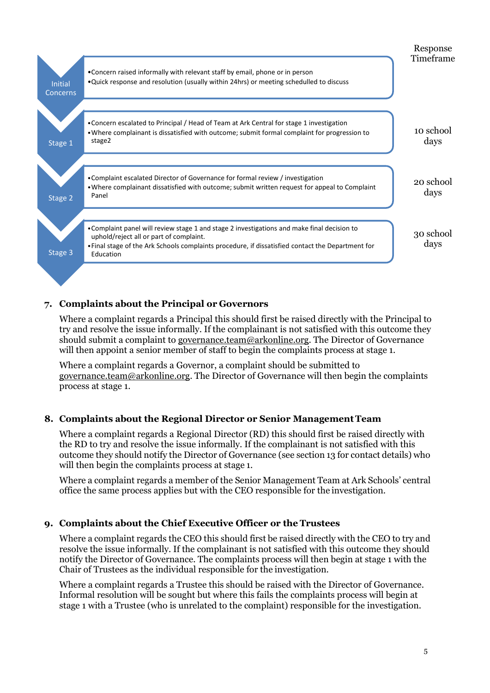

# **7. Complaints about the Principal or Governors**

Where a complaint regards a Principal this should first be raised directly with the Principal to try and resolve the issue informally. If the complainant is not satisfied with this outcome they should submit a complaint to [governance.team@arkonline.org.](mailto:governance.team@arkonline.org) The Director of Governance will then appoint a senior member of staff to begin the complaints process at stage 1.

Where a complaint regards a Governor, a complaint should be submitted to [governance.team@arkonline.org.](mailto:governance.team@arkonline.org) The Director of Governance will then begin the complaints process at stage 1.

# **8. Complaints about the Regional Director or Senior ManagementTeam**

Where a complaint regards a Regional Director (RD) this should first be raised directly with the RD to try and resolve the issue informally. If the complainant is not satisfied with this outcome they should notify the Director of Governance (see section 13 for contact details) who will then begin the complaints process at stage 1.

Where a complaint regards a member of the Senior Management Team at Ark Schools' central office the same process applies but with the CEO responsible for the investigation.

# **9. Complaints about the Chief Executive Officer or the Trustees**

Where a complaint regards the CEO this should first be raised directly with the CEO to try and resolve the issue informally. If the complainant is not satisfied with this outcome they should notify the Director of Governance. The complaints process will then begin at stage 1 with the Chair of Trustees as the individual responsible for the investigation.

Where a complaint regards a Trustee this should be raised with the Director of Governance. Informal resolution will be sought but where this fails the complaints process will begin at stage 1 with a Trustee (who is unrelated to the complaint) responsible for the investigation.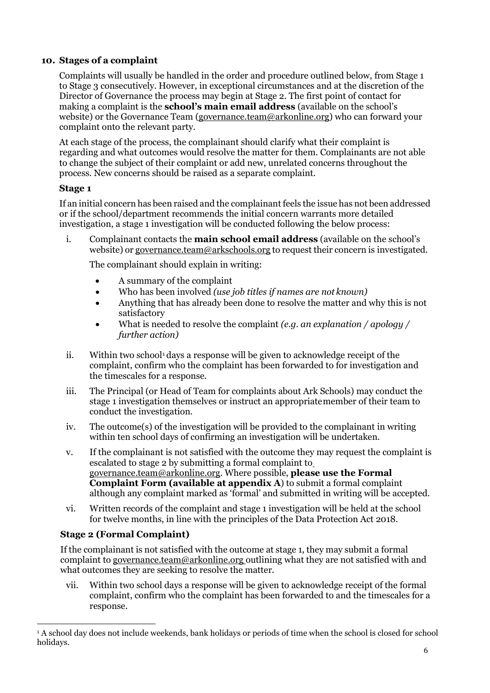# **10. Stages of a complaint**

Complaints will usually be handled in the order and procedure outlined below, from Stage 1 to Stage 3 consecutively. However, in exceptional circumstances and at the discretion of the Director of Governance the process may begin at Stage 2. The first point of contact for making a complaint is the **school's main email address** (available on the school's website) or the Governance Team [\(governance.team@arkonline.org\)](mailto:governance.team@arkonline.org) who can forward your complaint onto the relevant party.

At each stage of the process, the complainant should clarify what their complaint is regarding and what outcomes would resolve the matter for them. Complainants are not able to change the subject of their complaint or add new, unrelated concerns throughout the process. New concerns should be raised as a separate complaint.

# **Stage 1**

If an initial concern has been raised and the complainant feels the issue has not been addressed or if the school/department recommends the initial concern warrants more detailed investigation, a stage 1 investigation will be conducted following the below process:

i. Complainant contacts the **main school email address** (available on the school's website) or [governance.team@arkschools.org](mailto:governance.team@arkschools.org) to request their concern is investigated.

The complainant should explain in writing:

- A summary of the complaint
- Who has been involved *(use job titles if names are not known)*
- Anything that has already been done to resolve the matter and why this is not satisfactory
- What is needed to resolve the complaint *(e.g. an explanation / apology / further action)*
- ii. Within two school<sup>[1](#page-5-0)</sup> days a response will be given to acknowledge receipt of the complaint, confirm who the complaint has been forwarded to for investigation and the timescales for a response.
- iii. The Principal (or Head of Team for complaints about Ark Schools) may conduct the stage 1 investigation themselves or instruct an appropriatemember of their team to conduct the investigation.
- iv. The outcome(s) of the investigation will be provided to the complainant in writing within ten school days of confirming an investigation will be undertaken.
- v. If the complainant is not satisfied with the outcome they may request the complaint is escalated to stage 2 by submitting a formal complaint t[o](mailto:info@arkonline.org) [governance.team@arkonline.org.](mailto:info@arkonline.org) Where possible, **please use the Formal Complaint Form (available at appendix A**) to submit a formal complaint although any complaint marked as 'formal' and submitted in writing will be accepted.
- vi. Written records of the complaint and stage 1 investigation will be held at the school for twelve months, in line with the principles of the Data Protection Act 2018.

# **Stage 2 (Formal Complaint)**

If the complainant is not satisfied with the outcome at stage 1, they may submit a formal complaint to [governance.team@arkonline.org](mailto:governance.team@arkonline.org) outlining what they are not satisfied with and what outcomes they are seeking to resolve the matter.

vii. Within two school days a response will be given to acknowledge receipt of the formal complaint, confirm who the complaint has been forwarded to and the timescales for a response.

<span id="page-5-0"></span><sup>1</sup> A school day does not include weekends, bank holidays or periods of time when the school is closed for school holidays.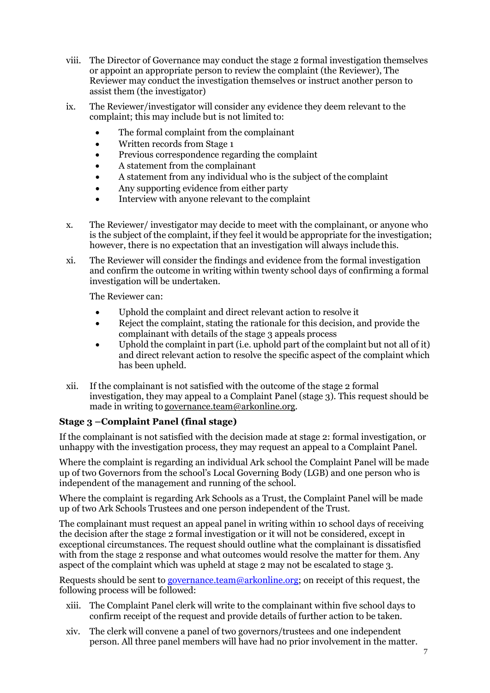- viii. The Director of Governance may conduct the stage 2 formal investigation themselves or appoint an appropriate person to review the complaint (the Reviewer), The Reviewer may conduct the investigation themselves or instruct another person to assist them (the investigator)
- ix. The Reviewer/investigator will consider any evidence they deem relevant to the complaint; this may include but is not limited to:
	- The formal complaint from the complainant
	- Written records from Stage 1
	- Previous correspondence regarding the complaint
	- A statement from the complainant
	- A statement from any individual who is the subject of the complaint
	- Any supporting evidence from either party
	- Interview with anyone relevant to the complaint
- x. The Reviewer/ investigator may decide to meet with the complainant, or anyone who is the subject of the complaint, if they feel it would be appropriate for the investigation; however, there is no expectation that an investigation will always include this.
- xi. The Reviewer will consider the findings and evidence from the formal investigation and confirm the outcome in writing within twenty school days of confirming a formal investigation will be undertaken.

The Reviewer can:

- Uphold the complaint and direct relevant action to resolve it
- Reject the complaint, stating the rationale for this decision, and provide the complainant with details of the stage 3 appeals process
- Uphold the complaint in part (i.e. uphold part of the complaint but not all of it) and direct relevant action to resolve the specific aspect of the complaint which has been upheld.
- xii. If the complainant is not satisfied with the outcome of the stage 2 formal investigation, they may appeal to a Complaint Panel (stage 3). This request should be made in writing to [governance.team@arkonline.org.](mailto:governance.team@arkonline.org)

# **Stage 3 –Complaint Panel (final stage)**

If the complainant is not satisfied with the decision made at stage 2: formal investigation, or unhappy with the investigation process, they may request an appeal to a Complaint Panel.

Where the complaint is regarding an individual Ark school the Complaint Panel will be made up of two Governors from the school's Local Governing Body (LGB) and one person who is independent of the management and running of the school.

Where the complaint is regarding Ark Schools as a Trust, the Complaint Panel will be made up of two Ark Schools Trustees and one person independent of the Trust.

The complainant must request an appeal panel in writing within 10 school days of receiving the decision after the stage 2 formal investigation or it will not be considered, except in exceptional circumstances. The request should outline what the complainant is dissatisfied with from the stage 2 response and what outcomes would resolve the matter for them. Any aspect of the complaint which was upheld at stage 2 may not be escalated to stage 3.

Requests should be sent to [governance.team@arkonline.org;](mailto:governance.team@arkonline.org) on receipt of this request, the following process will be followed:

- xiii. The Complaint Panel clerk will write to the complainant within five school days to confirm receipt of the request and provide details of further action to be taken.
- xiv. The clerk will convene a panel of two governors/trustees and one independent person. All three panel members will have had no prior involvement in the matter.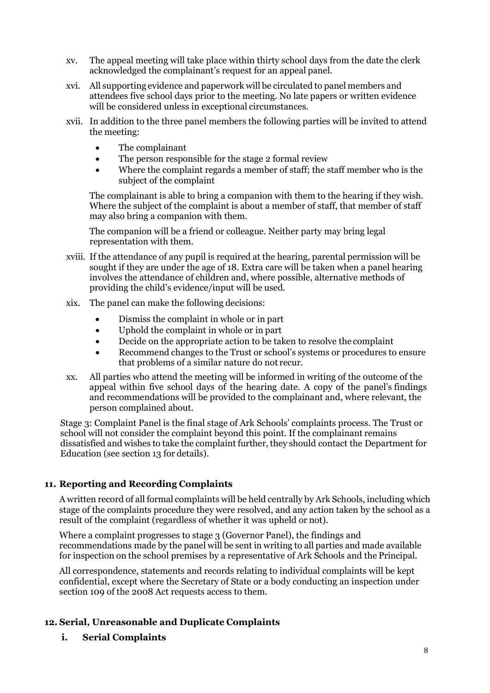- xv. The appeal meeting will take place within thirty school days from the date the clerk acknowledged the complainant's request for an appeal panel.
- xvi. All supporting evidence and paperwork will be circulated to panel members and attendees five school days prior to the meeting. No late papers or written evidence will be considered unless in exceptional circumstances.
- xvii. In addition to the three panel members the following parties will be invited to attend the meeting:
	- The complainant
	- The person responsible for the stage 2 formal review
	- Where the complaint regards a member of staff; the staff member who is the subject of the complaint

The complainant is able to bring a companion with them to the hearing if they wish. Where the subject of the complaint is about a member of staff, that member of staff may also bring a companion with them.

The companion will be a friend or colleague. Neither party may bring legal representation with them.

- xviii. If the attendance of any pupil is required at the hearing, parental permission will be sought if they are under the age of 18. Extra care will be taken when a panel hearing involves the attendance of children and, where possible, alternative methods of providing the child's evidence/input will be used.
- xix. The panel can make the following decisions:
	- Dismiss the complaint in whole or in part
	- Uphold the complaint in whole or in part
	- Decide on the appropriate action to be taken to resolve the complaint
	- Recommend changes to the Trust or school's systems or procedures to ensure that problems of a similar nature do not recur.
- xx. All parties who attend the meeting will be informed in writing of the outcome of the appeal within five school days of the hearing date. A copy of the panel's findings and recommendations will be provided to the complainant and, where relevant, the person complained about.

Stage 3: Complaint Panel is the final stage of Ark Schools' complaints process. The Trust or school will not consider the complaint beyond this point. If the complainant remains dissatisfied and wishes to take the complaint further, they should contact the Department for Education (see section 13 for details).

# **11. Reporting and Recording Complaints**

A written record of all formal complaints will be held centrally by Ark Schools, including which stage of the complaints procedure they were resolved, and any action taken by the school as a result of the complaint (regardless of whether it was upheld or not).

Where a complaint progresses to stage 3 (Governor Panel), the findings and recommendations made by the panel will be sent in writing to all parties and made available for inspection on the school premises by a representative of Ark Schools and the Principal.

All correspondence, statements and records relating to individual complaints will be kept confidential, except where the Secretary of State or a body conducting an inspection under section 109 of the 2008 Act requests access to them.

# **12. Serial, Unreasonable and Duplicate Complaints**

**i. Serial Complaints**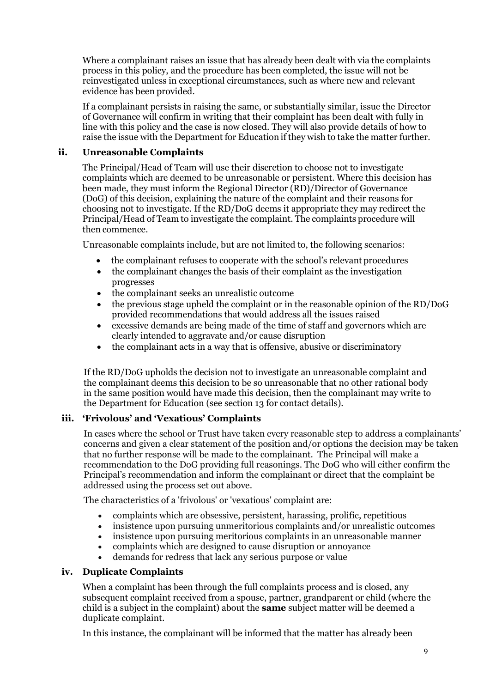Where a complainant raises an issue that has already been dealt with via the complaints process in this policy, and the procedure has been completed, the issue will not be reinvestigated unless in exceptional circumstances, such as where new and relevant evidence has been provided.

If a complainant persists in raising the same, or substantially similar, issue the Director of Governance will confirm in writing that their complaint has been dealt with fully in line with this policy and the case is now closed. They will also provide details of how to raise the issue with the Department for Education if they wish to take the matter further.

# **ii. Unreasonable Complaints**

The Principal/Head of Team will use their discretion to choose not to investigate complaints which are deemed to be unreasonable or persistent. Where this decision has been made, they must inform the Regional Director (RD)/Director of Governance (DoG) of this decision, explaining the nature of the complaint and their reasons for choosing not to investigate. If the RD/DoG deems it appropriate they may redirect the Principal/Head of Team to investigate the complaint. The complaints procedure will then commence.

Unreasonable complaints include, but are not limited to, the following scenarios:

- the complainant refuses to cooperate with the school's relevant procedures
- the complainant changes the basis of their complaint as the investigation progresses
- the complainant seeks an unrealistic outcome
- the previous stage upheld the complaint or in the reasonable opinion of the RD/DoG provided recommendations that would address all the issues raised
- excessive demands are being made of the time of staff and governors which are clearly intended to aggravate and/or cause disruption
- the complainant acts in a way that is offensive, abusive or discriminatory

If the RD/DoG upholds the decision not to investigate an unreasonable complaint and the complainant deems this decision to be so unreasonable that no other rational body in the same position would have made this decision, then the complainant may write to the Department for Education (see section 13 for contact details).

# **iii. 'Frivolous' and 'Vexatious' Complaints**

In cases where the school or Trust have taken every reasonable step to address a complainants' concerns and given a clear statement of the position and/or options the decision may be taken that no further response will be made to the complainant. The Principal will make a recommendation to the DoG providing full reasonings. The DoG who will either confirm the Principal's recommendation and inform the complainant or direct that the complaint be addressed using the process set out above.

The characteristics of a 'frivolous' or 'vexatious' complaint are:

- complaints which are obsessive, persistent, harassing, prolific, repetitious
- insistence upon pursuing unmeritorious complaints and/or unrealistic outcomes
- insistence upon pursuing meritorious complaints in an unreasonable manner
- complaints which are designed to cause disruption or annoyance
- demands for redress that lack any serious purpose or value

# **iv. Duplicate Complaints**

When a complaint has been through the full complaints process and is closed, any subsequent complaint received from a spouse, partner, grandparent or child (where the child is a subject in the complaint) about the **same** subject matter will be deemed a duplicate complaint.

In this instance, the complainant will be informed that the matter has already been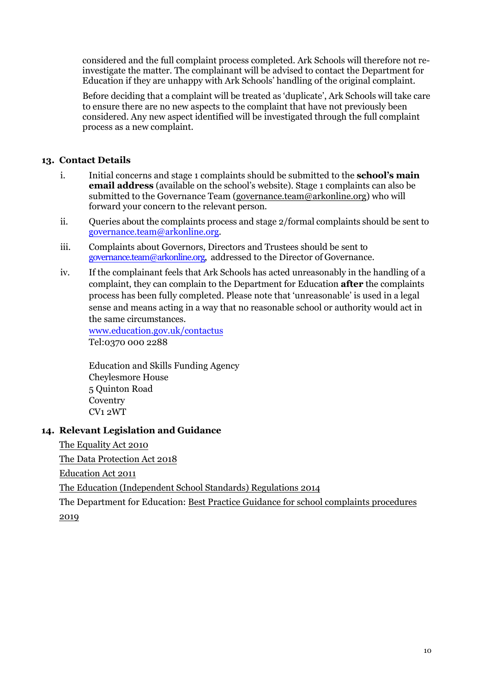considered and the full complaint process completed. Ark Schools will therefore not reinvestigate the matter. The complainant will be advised to contact the Department for Education if they are unhappy with Ark Schools' handling of the original complaint.

Before deciding that a complaint will be treated as 'duplicate', Ark Schools will take care to ensure there are no new aspects to the complaint that have not previously been considered. Any new aspect identified will be investigated through the full complaint process as a new complaint.

# **13. Contact Details**

- i. Initial concerns and stage 1 complaints should be submitted to the **school's main email address** (available on the school's website). Stage 1 complaints can also be submitted to the Governance Team [\(governance.team@arkonline.org\)](mailto:governance.team@arkonline.org) who will forward your concern to the relevant person.
- ii. Queries about the complaints process and stage 2/formal complaints should be sent to [governance.team@arkonline.org.](mailto:governance.team@arkonline.org)
- iii. Complaints about Governors, Directors and Trustees should be sent to [governance.team@arkonline.org,](mailto:governance.team@arkonline.org) addressed to the Director of Governance.
- iv. If the complainant feels that Ark Schools has acted unreasonably in the handling of a complaint, they can complain to the Department for Education **after** the complaints process has been fully completed. Please note that 'unreasonable' is used in a legal sense and means acting in a way that no reasonable school or authority would act in the same circumstances.

[www.education.gov.uk/contactus](http://www.education.gov.uk/contactus) Tel:0370 000 2288

Education and Skills Funding Agency Cheylesmore House 5 Quinton Road Coventry CV1 2WT

# **14. Relevant Legislation and Guidance**

[The Equality Act 2010](https://www.legislation.gov.uk/ukpga/2010/15/contents)

[The Data Protection](http://www.legislation.gov.uk/ukpga/2018/12/contents/enacted) Act 2018

[Education Act 2011](http://www.legislation.gov.uk/ukpga/2011/21/contents/enacted)

The [Education \(Independent School](http://www.legislation.gov.uk/uksi/2014/3283/schedule/made) Standards) Regulations 2014

The Department for Education: [Best Practice Guidance for school complaints procedures](https://www.gov.uk/government/publications/school-complaints-procedures/best-practice-advice-for-school-complaints-procedures-2019)  2019